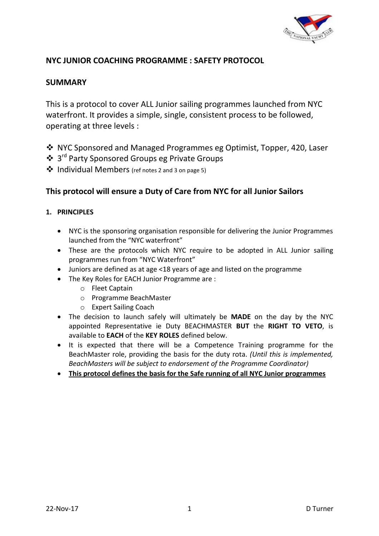

# **NYC JUNIOR COACHING PROGRAMME : SAFETY PROTOCOL**

## **SUMMARY**

This is a protocol to cover ALL Junior sailing programmes launched from NYC waterfront. It provides a simple, single, consistent process to be followed, operating at three levels :

- NYC Sponsored and Managed Programmes eg Optimist, Topper, 420, Laser
- ❖ 3<sup>rd</sup> Party Sponsored Groups eg Private Groups
- ❖ Individual Members (ref notes 2 and 3 on page 5)

# **This protocol will ensure a Duty of Care from NYC for all Junior Sailors**

### **1. PRINCIPLES**

- NYC is the sponsoring organisation responsible for delivering the Junior Programmes launched from the "NYC waterfront"
- These are the protocols which NYC require to be adopted in ALL Junior sailing programmes run from "NYC Waterfront"
- Juniors are defined as at age <18 years of age and listed on the programme
- The Key Roles for EACH Junior Programme are :
	- o Fleet Captain
	- o Programme BeachMaster
	- o Expert Sailing Coach
- The decision to launch safely will ultimately be **MADE** on the day by the NYC appointed Representative ie Duty BEACHMASTER **BUT** the **RIGHT TO VETO**, is available to **EACH** of the **KEY ROLES** defined below.
- It is expected that there will be a Competence Training programme for the BeachMaster role, providing the basis for the duty rota. *(Until this is implemented, BeachMasters will be subject to endorsement of the Programme Coordinator)*
- **This protocol defines the basis for the Safe running of all NYC Junior programmes**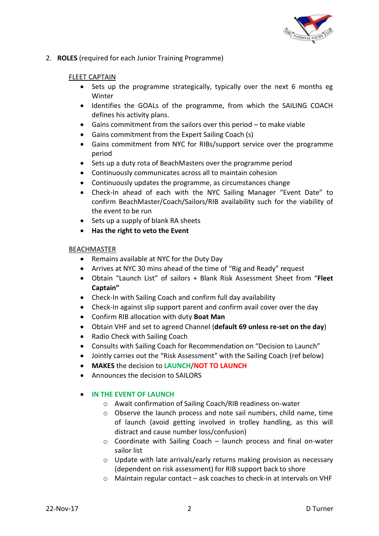

2. **ROLES** (required for each Junior Training Programme)

### FLEET CAPTAIN

- Sets up the programme strategically, typically over the next 6 months eg Winter
- Identifies the GOALs of the programme, from which the SAILING COACH defines his activity plans.
- Gains commitment from the sailors over this period to make viable
- Gains commitment from the Expert Sailing Coach (s)
- Gains commitment from NYC for RIBs/support service over the programme period
- Sets up a duty rota of BeachMasters over the programme period
- Continuously communicates across all to maintain cohesion
- Continuously updates the programme, as circumstances change
- Check-In ahead of each with the NYC Sailing Manager "Event Date" to confirm BeachMaster/Coach/Sailors/RIB availability such for the viability of the event to be run
- Sets up a supply of blank RA sheets
- **Has the right to veto the Event**

## BEACHMASTER

- Remains available at NYC for the Duty Day
- Arrives at NYC 30 mins ahead of the time of "Rig and Ready" request
- Obtain "Launch List" of sailors + Blank Risk Assessment Sheet from "**Fleet Captain"**
- Check-In with Sailing Coach and confirm full day availability
- Check-In against slip support parent and confirm avail cover over the day
- Confirm RIB allocation with duty **Boat Man**
- Obtain VHF and set to agreed Channel (**default 69 unless re-set on the day**)
- Radio Check with Sailing Coach
- Consults with Sailing Coach for Recommendation on "Decision to Launch"
- Jointly carries out the "Risk Assessment" with the Sailing Coach (ref below)
- **MAKES** the decision to **LAUNCH**/**NOT TO LAUNCH**
- Announces the decision to SAILORS

## **• IN THE EVENT OF LAUNCH**

- o Await confirmation of Sailing Coach/RIB readiness on-water
- o Observe the launch process and note sail numbers, child name, time of launch (avoid getting involved in trolley handling, as this will distract and cause number loss/confusion)
- o Coordinate with Sailing Coach launch process and final on-water sailor list
- o Update with late arrivals/early returns making provision as necessary (dependent on risk assessment) for RIB support back to shore
- o Maintain regular contact ask coaches to check-in at intervals on VHF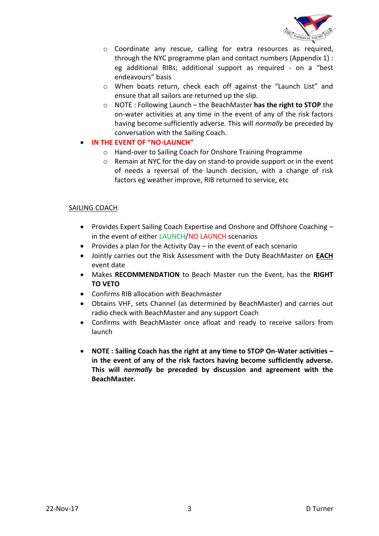

- o Coordinate any rescue, calling for extra resources as required, through the NYC programme plan and contact numbers (Appendix 1) : eg additional RIBs; additional support as required - on a "best endeavours" basis
- o When boats return, check each off against the "Launch List" and ensure that all sailors are returned up the slip.
- o NOTE : Following Launch the BeachMaster **has the right to STOP** the on-water activities at any time in the event of any of the risk factors having become sufficiently adverse. This will *normally* be preceded by conversation with the Sailing Coach.
- **IN THE EVENT OF "NO-LAUNCH"**
	- o Hand-over to Sailing Coach for Onshore Training Programme
	- o Remain at NYC for the day on stand-to provide support or in the event of needs a reversal of the launch decision, with a change of risk factors eg weather improve, RIB returned to service, etc

#### SAILING COACH

- Provides Expert Sailing Coach Expertise and Onshore and Offshore Coaching in the event of either LAUNCH/NO LAUNCH scenarios
- Provides a plan for the Activity Day  $-$  in the event of each scenario
- Jointly carries out the Risk Assessment with the Duty BeachMaster on **EACH** event date
- Makes **RECOMMENDATION** to Beach Master run the Event, has the **RIGHT TO VETO**
- Confirms RIB allocation with Beachmaster
- Obtains VHF, sets Channel (as determined by BeachMaster) and carries out radio check with BeachMaster and any support Coach
- Confirms with BeachMaster once afloat and ready to receive sailors from launch
- **NOTE : Sailing Coach has the right at any time to STOP On-Water activities – in the event of any of the risk factors having become sufficiently adverse. This will** *normally* **be preceded by discussion and agreement with the BeachMaster.**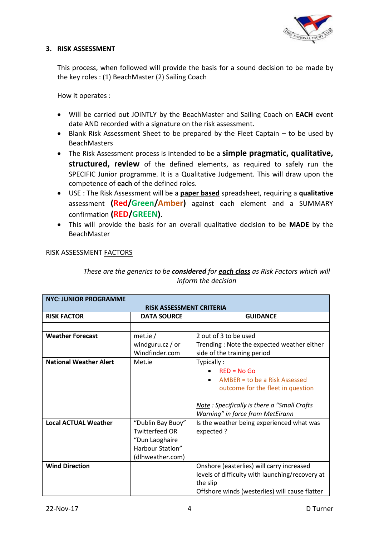

#### **3. RISK ASSESSMENT**

This process, when followed will provide the basis for a sound decision to be made by the key roles : (1) BeachMaster (2) Sailing Coach

How it operates :

- Will be carried out JOINTLY by the BeachMaster and Sailing Coach on **EACH** event date AND recorded with a signature on the risk assessment.
- Blank Risk Assessment Sheet to be prepared by the Fleet Captain to be used by BeachMasters
- The Risk Assessment process is intended to be a **simple pragmatic, qualitative, structured, review** of the defined elements, as required to safely run the SPECIFIC Junior programme. It is a Qualitative Judgement. This will draw upon the competence of **each** of the defined roles.
- USE : The Risk Assessment will be a **paper based** spreadsheet, requiring a **qualitative** assessment **(Red/Green/Amber)** against each element and a SUMMARY confirmation **(RED/GREEN)**.
- This will provide the basis for an overall qualitative decision to be **MADE** by the BeachMaster

| RISK ASSESSMENT FACTORS |
|-------------------------|
|-------------------------|

| These are the generics to be <b>considered</b> for <b>each class</b> as Risk Factors which will |
|-------------------------------------------------------------------------------------------------|
| inform the decision                                                                             |

| <b>NYC: JUNIOR PROGRAMME</b>    |                       |                                                 |  |  |  |
|---------------------------------|-----------------------|-------------------------------------------------|--|--|--|
| <b>RISK ASSESSMENT CRITERIA</b> |                       |                                                 |  |  |  |
| <b>RISK FACTOR</b>              | <b>DATA SOURCE</b>    | <b>GUIDANCE</b>                                 |  |  |  |
|                                 |                       |                                                 |  |  |  |
| <b>Weather Forecast</b>         | met.ie $/$            | 2 out of 3 to be used                           |  |  |  |
|                                 | windguru.cz / or      | Trending: Note the expected weather either      |  |  |  |
|                                 | Windfinder.com        | side of the training period                     |  |  |  |
| <b>National Weather Alert</b>   | Met.ie                | Typically:                                      |  |  |  |
|                                 |                       | $RFD = No Go$                                   |  |  |  |
|                                 |                       | $AMBER = to be a Risk Assessment$<br>$\bullet$  |  |  |  |
|                                 |                       | outcome for the fleet in question               |  |  |  |
|                                 |                       |                                                 |  |  |  |
|                                 |                       | Note: Specifically is there a "Small Crafts     |  |  |  |
|                                 |                       | Warning" in force from MetEirann                |  |  |  |
| <b>Local ACTUAL Weather</b>     | "Dublin Bay Buoy"     | Is the weather being experienced what was       |  |  |  |
|                                 | <b>Twitterfeed OR</b> | expected ?                                      |  |  |  |
|                                 | "Dun Laoghaire        |                                                 |  |  |  |
|                                 | Harbour Station"      |                                                 |  |  |  |
|                                 | (dlhweather.com)      |                                                 |  |  |  |
| <b>Wind Direction</b>           |                       | Onshore (easterlies) will carry increased       |  |  |  |
|                                 |                       | levels of difficulty with launching/recovery at |  |  |  |
|                                 |                       | the slip                                        |  |  |  |
|                                 |                       | Offshore winds (westerlies) will cause flatter  |  |  |  |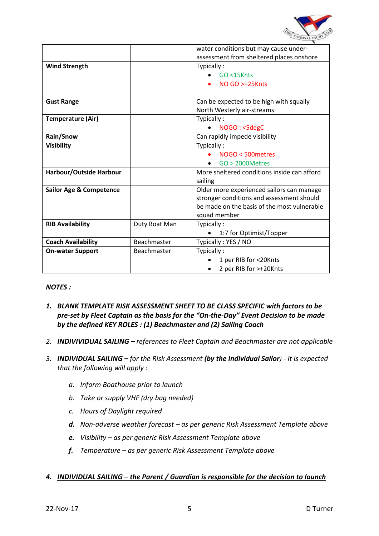

|                                    |               | water conditions but may cause under-       |  |
|------------------------------------|---------------|---------------------------------------------|--|
|                                    |               | assessment from sheltered places onshore    |  |
| <b>Wind Strength</b>               |               | Typically:                                  |  |
|                                    |               | $GO < 15K$ nts                              |  |
|                                    |               | $NO$ GO $> +25$ Knts                        |  |
|                                    |               |                                             |  |
| <b>Gust Range</b>                  |               | Can be expected to be high with squally     |  |
|                                    |               | North Westerly air-streams                  |  |
| <b>Temperature (Air)</b>           |               | Typically:                                  |  |
|                                    |               | NOGO: <5degC                                |  |
| Rain/Snow                          |               | Can rapidly impede visibility               |  |
| <b>Visibility</b>                  |               | Typically:                                  |  |
|                                    |               | $NOGO < 500$ metres                         |  |
|                                    |               | $GO > 2000$ Metres                          |  |
| Harbour/Outside Harbour            |               | More sheltered conditions inside can afford |  |
|                                    |               | sailing                                     |  |
| <b>Sailor Age &amp; Competence</b> |               | Older more experienced sailors can manage   |  |
|                                    |               | stronger conditions and assessment should   |  |
|                                    |               | be made on the basis of the most vulnerable |  |
|                                    |               | squad member                                |  |
| <b>RIB Availability</b>            | Duty Boat Man | Typically:                                  |  |
|                                    |               | 1:7 for Optimist/Topper                     |  |
| <b>Coach Availability</b>          | Beachmaster   | Typically: YES / NO                         |  |
| <b>On-water Support</b>            | Beachmaster   | Typically:                                  |  |
|                                    |               | 1 per RIB for <20Knts                       |  |
|                                    |               | 2 per RIB for >+20Knts<br>$\bullet$         |  |

#### *NOTES :*

- *1. BLANK TEMPLATE RISK ASSESSMENT SHEET TO BE CLASS SPECIFIC with factors to be pre-set by Fleet Captain as the basis for the "On-the-Day" Event Decision to be made by the defined KEY ROLES : (1) Beachmaster and (2) Sailing Coach*
- *2. INDIVIVIDUAL SAILING – references to Fleet Captain and Beachmaster are not applicable*
- *3. INDIVIDUAL SAILING – for the Risk Assessment (by the Individual Sailor) - it is expected that the following will apply :*
	- *a. Inform Boathouse prior to launch*
	- *b. Take or supply VHF (dry bag needed)*
	- *c. Hours of Daylight required*
	- *d. Non-adverse weather forecast – as per generic Risk Assessment Template above*
	- *e. Visibility – as per generic Risk Assessment Template above*
	- *f. Temperature – as per generic Risk Assessment Template above*

### *4. INDIVIDUAL SAILING – the Parent / Guardian is responsible for the decision to launch*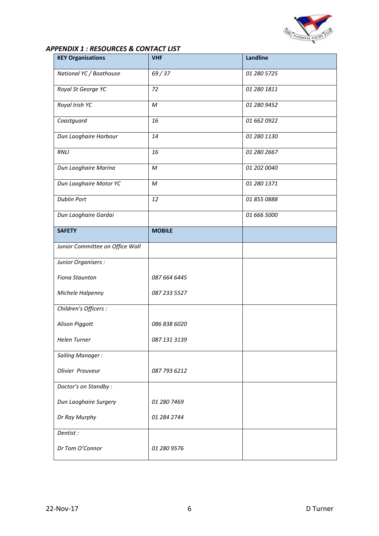

# *APPENDIX 1 : RESOURCES & CONTACT LIST*

| <b>KEY Organisations</b>        | <b>VHF</b>    | <b>Landline</b> |
|---------------------------------|---------------|-----------------|
| National YC / Boathouse         | 69/37         | 01 280 5725     |
| Royal St George YC              | 72            | 01 280 1811     |
| Royal Irish YC                  | M             | 01 280 9452     |
| Coastguard                      | 16            | 01 662 0922     |
| Dun Laoghaire Harbour           | 14            | 01 280 1130     |
| <b>RNLI</b>                     | 16            | 01 280 2667     |
| Dun Laoghaire Marina            | M             | 01 202 0040     |
| Dun Laoghaire Motor YC          | $\mathcal M$  | 01 280 1371     |
| <b>Dublin Port</b>              | 12            | 01 855 0888     |
| Dun Laoghaire Gardai            |               | 01 666 5000     |
| <b>SAFETY</b>                   | <b>MOBILE</b> |                 |
| Junior Committee on Office Wall |               |                 |
| Junior Organisers :             |               |                 |
| <b>Fiona Staunton</b>           | 087 664 6445  |                 |
| Michele Halpenny                | 087 233 5527  |                 |
| Children's Officers :           |               |                 |
| Alison Piggott                  | 086 838 6020  |                 |
| Helen Turner                    | 087 131 3139  |                 |
| Sailing Manager:                |               |                 |
| Olivier Prouveur                | 087 793 6212  |                 |
| Doctor's on Standby:            |               |                 |
| Dun Laoghaire Surgery           | 01 280 7469   |                 |
| Dr Ray Murphy                   | 01 284 2744   |                 |
| Dentist:                        |               |                 |
| Dr Tom O'Connor                 | 01 280 9576   |                 |